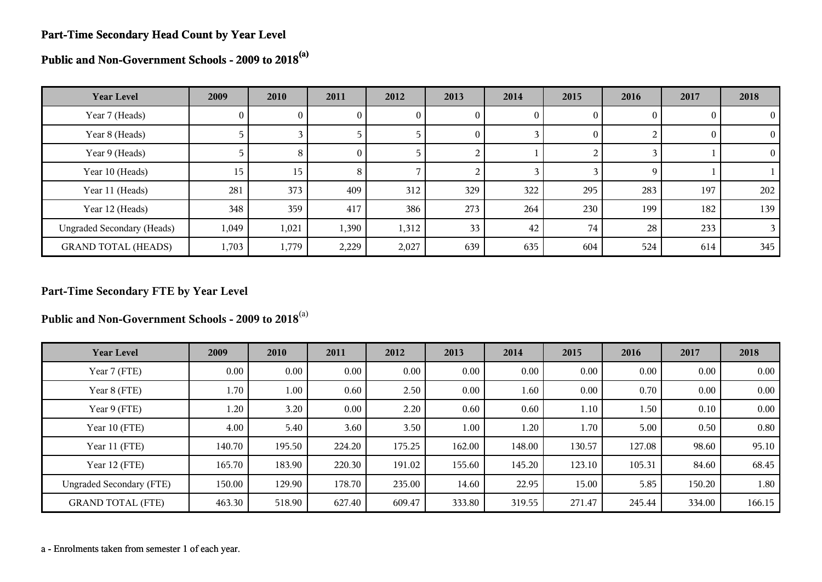#### **Part-Time Secondary Head Count by Year Level**

**Public and Non-Government Schools - 2009 to 2018(a)**

| <b>Year Level</b>                 | 2009  | 2010  | 2011     | 2012  | 2013 | 2014 | 2015     | 2016 | 2017 | 2018          |
|-----------------------------------|-------|-------|----------|-------|------|------|----------|------|------|---------------|
| Year 7 (Heads)                    | 0     | 0     | U.       | v     | U    | O.   | $\theta$ |      |      | $\theta$      |
| Year 8 (Heads)                    |       |       |          |       | 0    |      | $\theta$ |      |      | $\Omega$      |
| Year 9 (Heads)                    |       | 8     | $\theta$ |       |      |      |          |      |      | $\Omega$      |
| Year 10 (Heads)                   | 15    | 15    | 8        |       |      |      |          |      |      |               |
| Year 11 (Heads)                   | 281   | 373   | 409      | 312   | 329  | 322  | 295      | 283  | 197  | 202           |
| Year 12 (Heads)                   | 348   | 359   | 417      | 386   | 273  | 264  | 230      | 199  | 182  | 139           |
| <b>Ungraded Secondary (Heads)</b> | 1,049 | 1,021 | 1,390    | 1,312 | 33   | 42   | 74       | 28   | 233  | $\mathcal{E}$ |
| <b>GRAND TOTAL (HEADS)</b>        | 1,703 | 1,779 | 2,229    | 2,027 | 639  | 635  | 604      | 524  | 614  | 345           |

# **Part-Time Secondary FTE by Year Level**

**Public and Non-Government Schools - 2009 to 2018**(a)

| <b>Year Level</b>               | 2009     | 2010   | 2011     | 2012     | 2013   | 2014   | 2015   | 2016   | 2017   | 2018     |
|---------------------------------|----------|--------|----------|----------|--------|--------|--------|--------|--------|----------|
| Year 7 (FTE)                    | $0.00\,$ | 0.00   | $0.00\,$ | $0.00\,$ | 0.00   | 0.00   | 0.00   | 0.00   | 0.00   | $0.00\,$ |
| Year 8 (FTE)                    | 1.70     | 1.00   | 0.60     | 2.50     | 0.00   | 1.60   | 0.00   | 0.70   | 0.00   | 0.00     |
| Year 9 (FTE)                    | 1.20     | 3.20   | $0.00\,$ | 2.20     | 0.60   | 0.60   | 1.10   | 1.50   | 0.10   | 0.00     |
| Year 10 (FTE)                   | 4.00     | 5.40   | 3.60     | 3.50     | 1.00   | 1.20   | 1.70   | 5.00   | 0.50   | 0.80     |
| Year 11 (FTE)                   | 140.70   | 195.50 | 224.20   | 175.25   | 162.00 | 148.00 | 130.57 | 127.08 | 98.60  | 95.10    |
| Year 12 (FTE)                   | 165.70   | 183.90 | 220.30   | 191.02   | 155.60 | 145.20 | 123.10 | 105.31 | 84.60  | 68.45    |
| <b>Ungraded Secondary (FTE)</b> | 150.00   | 129.90 | 178.70   | 235.00   | 14.60  | 22.95  | 15.00  | 5.85   | 150.20 | 1.80     |
| <b>GRAND TOTAL (FTE)</b>        | 463.30   | 518.90 | 627.40   | 609.47   | 333.80 | 319.55 | 271.47 | 245.44 | 334.00 | 166.15   |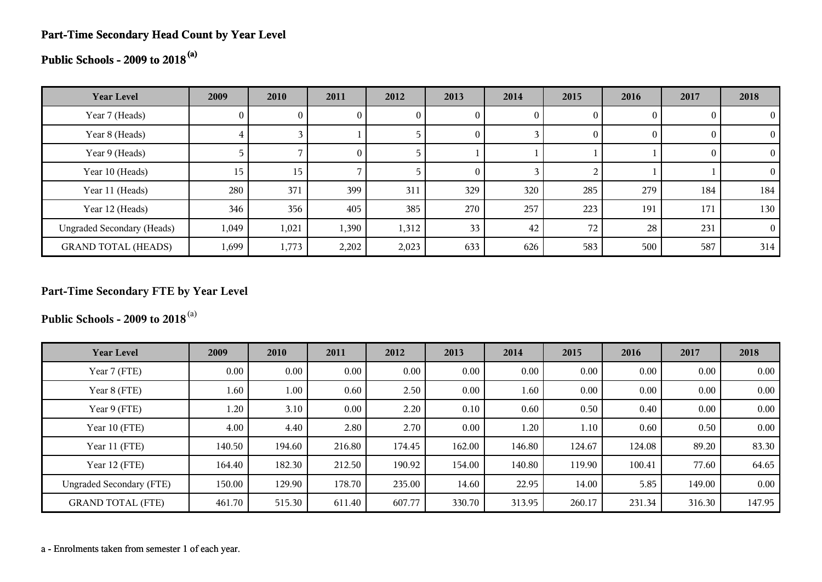# **Part-Time Secondary Head Count by Year Level**

# **Public Schools - 2009 to 2018(a)**

| <b>Year Level</b>                 | 2009  | 2010  | 2011         | 2012  | 2013             | 2014         | 2015 | 2016     | 2017 | 2018     |
|-----------------------------------|-------|-------|--------------|-------|------------------|--------------|------|----------|------|----------|
| Year 7 (Heads)                    | O.    |       | $\mathbf{0}$ |       |                  | $\mathbf{0}$ |      | $\bf{0}$ |      | $\theta$ |
| Year 8 (Heads)                    | 4     |       |              |       | 0                |              |      | $\theta$ |      | 0        |
| Year 9 (Heads)                    |       |       | $\theta$     |       |                  |              |      |          |      | $\theta$ |
| Year 10 (Heads)                   | 15    | 15    |              |       | $\left( \right)$ |              |      |          |      | $\Omega$ |
| Year 11 (Heads)                   | 280   | 371   | 399          | 311   | 329              | 320          | 285  | 279      | 184  | 184      |
| Year 12 (Heads)                   | 346   | 356   | 405          | 385   | 270              | 257          | 223  | 191      | 171  | 130      |
| <b>Ungraded Secondary (Heads)</b> | 1,049 | 1,021 | 1,390        | 1,312 | 33               | 42           | 72   | 28       | 231  | $\theta$ |
| <b>GRAND TOTAL (HEADS)</b>        | 1,699 | 1,773 | 2,202        | 2,023 | 633              | 626          | 583  | 500      | 587  | 314      |

# **Part-Time Secondary FTE by Year Level**

**Public Schools - 2009 to 2018**(a)

| <b>Year Level</b>               | 2009   | 2010     | 2011   | 2012   | 2013   | 2014   | 2015   | 2016   | 2017   | 2018   |
|---------------------------------|--------|----------|--------|--------|--------|--------|--------|--------|--------|--------|
| Year 7 (FTE)                    | 0.00   | $0.00\,$ | 0.00   | 0.00   | 0.00   | 0.00   | 0.00   | 0.00   | 0.00   | 0.00   |
| Year 8 (FTE)                    | 1.60   | 1.00     | 0.60   | 2.50   | 0.00   | 1.60   | 0.00   | 0.00   | 0.00   | 0.00   |
| Year 9 (FTE)                    | 1.20   | 3.10     | 0.00   | 2.20   | 0.10   | 0.60   | 0.50   | 0.40   | 0.00   | 0.00   |
| Year 10 (FTE)                   | 4.00   | 4.40     | 2.80   | 2.70   | 0.00   | 1.20   | 1.10   | 0.60   | 0.50   | 0.00   |
| Year 11 (FTE)                   | 140.50 | 194.60   | 216.80 | 174.45 | 162.00 | 146.80 | 124.67 | 124.08 | 89.20  | 83.30  |
| Year 12 (FTE)                   | 164.40 | 182.30   | 212.50 | 190.92 | 154.00 | 140.80 | 119.90 | 100.41 | 77.60  | 64.65  |
| <b>Ungraded Secondary (FTE)</b> | 150.00 | 129.90   | 178.70 | 235.00 | 14.60  | 22.95  | 14.00  | 5.85   | 149.00 | 0.00   |
| <b>GRAND TOTAL (FTE)</b>        | 461.70 | 515.30   | 611.40 | 607.77 | 330.70 | 313.95 | 260.17 | 231.34 | 316.30 | 147.95 |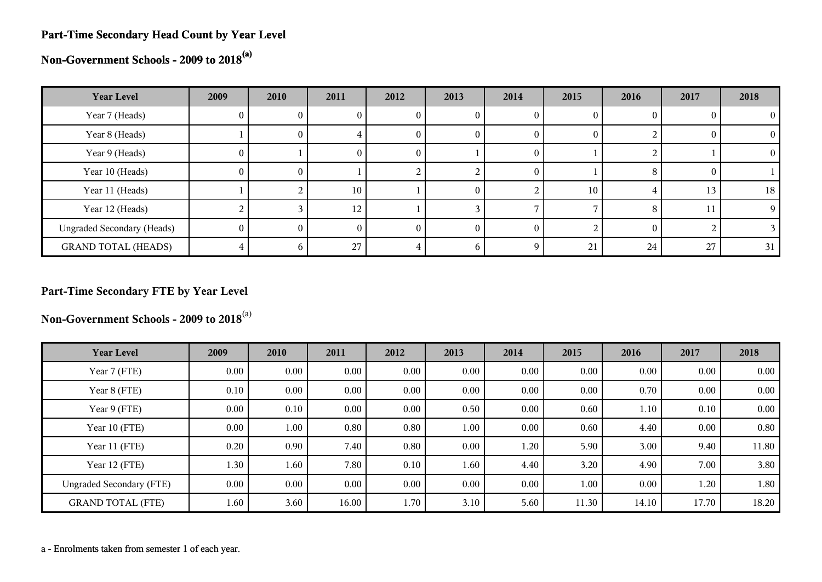#### **Part-Time Secondary Head Count by Year Level**

**Non-Government Schools - 2009 to 2018(a)**

| <b>Year Level</b>                 | 2009       | 2010 | 2011 | 2012 | 2013 | 2014 | 2015 | 2016 | 2017 | 2018     |
|-----------------------------------|------------|------|------|------|------|------|------|------|------|----------|
| Year 7 (Heads)                    | U          |      |      | U    |      |      |      |      |      |          |
| Year 8 (Heads)                    |            | U.   |      | v    | U    |      | 0    |      |      | $\Omega$ |
| Year 9 (Heads)                    | 0          |      | U    | U    |      |      |      |      |      | $^{(1)}$ |
| Year 10 (Heads)                   | $_{0}$     | O.   |      |      |      |      |      | Ω    |      |          |
| Year 11 (Heads)                   |            |      | 10   |      | 0    |      | 10   |      | 13   | 18       |
| Year 12 (Heads)                   |            |      | 12   |      |      |      |      | x    |      | 9        |
| <b>Ungraded Secondary (Heads)</b> | $^{\circ}$ |      |      |      |      |      |      |      |      |          |
| <b>GRAND TOTAL (HEADS)</b>        |            |      | 27   |      |      | Q    | 21   | 24   | 27   | 31       |

# **Part-Time Secondary FTE by Year Level**

**Non-Government Schools - 2009 to 2018**(a)

| <b>Year Level</b>               | 2009     | 2010     | 2011     | 2012 | 2013     | 2014 | 2015  | 2016     | 2017     | 2018  |
|---------------------------------|----------|----------|----------|------|----------|------|-------|----------|----------|-------|
| Year 7 (FTE)                    | 0.00     | $0.00\,$ | 0.00     | 0.00 | 0.00     | 0.00 | 0.00  | $0.00\,$ | $0.00\,$ | 0.00  |
| Year 8 (FTE)                    | 0.10     | $0.00\,$ | 0.00     | 0.00 | 0.00     | 0.00 | 0.00  | 0.70     | 0.00     | 0.00  |
| Year 9 (FTE)                    | $0.00\,$ | 0.10     | $0.00\,$ | 0.00 | 0.50     | 0.00 | 0.60  | 1.10     | 0.10     | 0.00  |
| Year 10 (FTE)                   | $0.00\,$ | 1.00     | 0.80     | 0.80 | 1.00     | 0.00 | 0.60  | 4.40     | 0.00     | 0.80  |
| Year 11 (FTE)                   | 0.20     | 0.90     | 7.40     | 0.80 | 0.00     | 1.20 | 5.90  | 3.00     | 9.40     | 11.80 |
| Year 12 (FTE)                   | 1.30     | 1.60     | 7.80     | 0.10 | 1.60     | 4.40 | 3.20  | 4.90     | 7.00     | 3.80  |
| <b>Ungraded Secondary (FTE)</b> | 0.00     | $0.00\,$ | $0.00\,$ | 0.00 | $0.00\,$ | 0.00 | 1.00  | $0.00\,$ | 1.20     | 1.80  |
| <b>GRAND TOTAL (FTE)</b>        | 1.60     | 3.60     | 16.00    | 1.70 | 3.10     | 5.60 | 11.30 | 14.10    | 17.70    | 18.20 |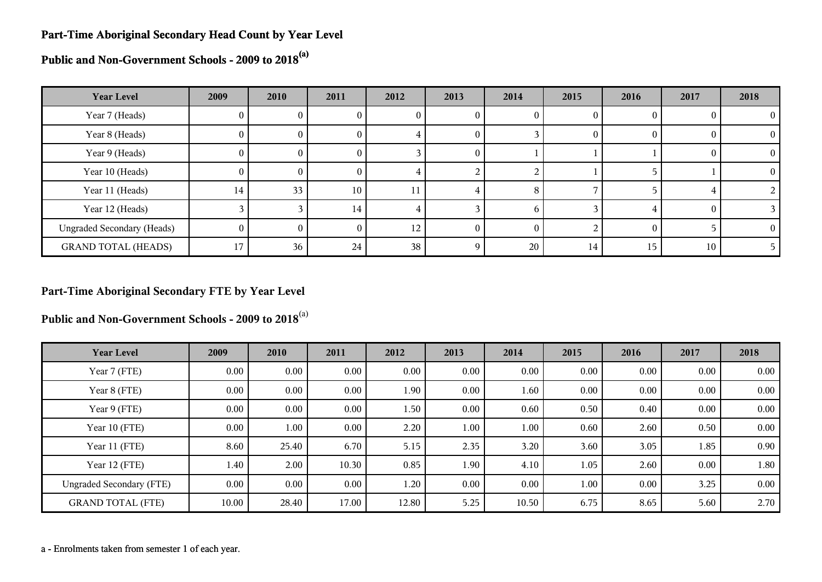#### **Part-Time Aboriginal Secondary Head Count by Year Level**

**Public and Non-Government Schools - 2009 to 2018(a)**

| <b>Year Level</b>                 | 2009     | 2010     | 2011            | 2012 | 2013     | 2014         | 2015 | 2016     | 2017 | 2018       |
|-----------------------------------|----------|----------|-----------------|------|----------|--------------|------|----------|------|------------|
| Year 7 (Heads)                    | U        | v        |                 | U    | U        |              |      |          |      |            |
| Year 8 (Heads)                    | $\theta$ | 0        | U               | -1   | O        |              |      | $\theta$ |      | $\Omega$   |
| Year 9 (Heads)                    | $\theta$ | $\Omega$ | 0.              |      | $\theta$ |              |      |          |      | $\Omega$   |
| Year 10 (Heads)                   | $\Omega$ | O.       | 0.              |      |          |              |      |          |      | $^{\circ}$ |
| Year 11 (Heads)                   | 14       | 33       | 10 <sub>1</sub> | 11   |          | 8            |      |          |      |            |
| Year 12 (Heads)                   |          |          | 14              |      |          | <sub>b</sub> |      |          |      |            |
| <b>Ungraded Secondary (Heads)</b> | $\theta$ |          | 0               | 12   |          |              |      | $\Omega$ |      |            |
| <b>GRAND TOTAL (HEADS)</b>        | 17       | 36       | 24              | 38   |          | 20           | 14   | 15       | 10   |            |

# **Part-Time Aboriginal Secondary FTE by Year Level**

**Public and Non-Government Schools - 2009 to 2018**(a)

| <b>Year Level</b>               | 2009  | 2010     | 2011     | 2012  | 2013     | 2014  | 2015 | 2016     | 2017 | 2018 |
|---------------------------------|-------|----------|----------|-------|----------|-------|------|----------|------|------|
| Year 7 (FTE)                    | 0.00  | $0.00\,$ | $0.00\,$ | 0.00  | 0.00     | 0.00  | 0.00 | 0.00     | 0.00 | 0.00 |
| Year 8 (FTE)                    | 0.00  | $0.00\,$ | 0.00     | 1.90  | 0.00     | 1.60  | 0.00 | 0.00     | 0.00 | 0.00 |
| Year 9 (FTE)                    | 0.00  | $0.00\,$ | $0.00\,$ | 1.50  | 0.00     | 0.60  | 0.50 | 0.40     | 0.00 | 0.00 |
| Year 10 (FTE)                   | 0.00  | 1.00     | $0.00\,$ | 2.20  | $1.00\,$ | 1.00  | 0.60 | 2.60     | 0.50 | 0.00 |
| Year 11 (FTE)                   | 8.60  | 25.40    | 6.70     | 5.15  | 2.35     | 3.20  | 3.60 | 3.05     | 1.85 | 0.90 |
| Year 12 (FTE)                   | 1.40  | 2.00     | 10.30    | 0.85  | 1.90     | 4.10  | 1.05 | 2.60     | 0.00 | 1.80 |
| <b>Ungraded Secondary (FTE)</b> | 0.00  | 0.00     | $0.00\,$ | 1.20  | $0.00\,$ | 0.00  | 1.00 | $0.00\,$ | 3.25 | 0.00 |
| <b>GRAND TOTAL (FTE)</b>        | 10.00 | 28.40    | 17.00    | 12.80 | 5.25     | 10.50 | 6.75 | 8.65     | 5.60 | 2.70 |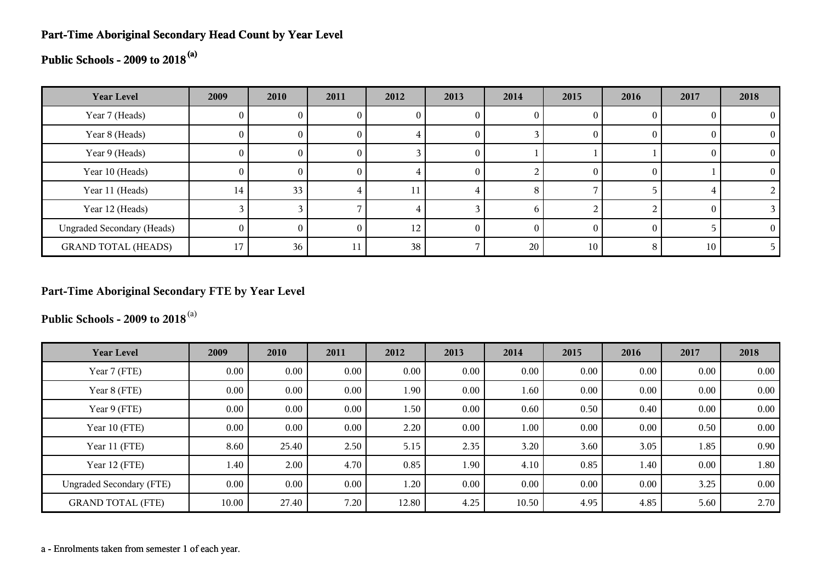# **Part-Time Aboriginal Secondary Head Count by Year Level**

# **Public Schools - 2009 to 2018(a)**

| <b>Year Level</b>                 | 2009     | 2010 | 2011         | 2012            | 2013 | 2014     | 2015 | 2016     | 2017     | 2018 |
|-----------------------------------|----------|------|--------------|-----------------|------|----------|------|----------|----------|------|
| Year 7 (Heads)                    |          |      | v            |                 |      | 0        |      |          |          |      |
| Year 8 (Heads)                    | $\theta$ |      | U            |                 |      |          |      | $\theta$ |          |      |
| Year 9 (Heads)                    | 0        |      | O            |                 |      |          |      |          |          |      |
| Year 10 (Heads)                   | 0        |      | $\mathbf{U}$ |                 |      |          |      | $\theta$ |          |      |
| Year 11 (Heads)                   | 14       | 33   |              |                 |      | 8        |      |          |          |      |
| Year 12 (Heads)                   |          |      |              |                 |      | h        |      |          | $\Gamma$ |      |
| <b>Ungraded Secondary (Heads)</b> | 0        | 0    | $\theta$     | 12 <sub>1</sub> |      | $\theta$ |      | 0        |          |      |
| <b>GRAND TOTAL (HEADS)</b>        | 17       | 36   |              | 38              |      | 20       | 10   | 8        | 10       |      |

#### **Part-Time Aboriginal Secondary FTE by Year Level**

**Public Schools - 2009 to 2018**(a)

| <b>Year Level</b>               | 2009  | 2010     | 2011     | 2012  | 2013     | 2014  | 2015 | 2016     | 2017 | 2018 |
|---------------------------------|-------|----------|----------|-------|----------|-------|------|----------|------|------|
| Year 7 (FTE)                    | 0.00  | $0.00\,$ | $0.00\,$ | 0.00  | $0.00\,$ | 0.00  | 0.00 | $0.00\,$ | 0.00 | 0.00 |
| Year 8 (FTE)                    | 0.00  | $0.00\,$ | $0.00\,$ | 1.90  | $0.00\,$ | 1.60  | 0.00 | 0.00     | 0.00 | 0.00 |
| Year 9 (FTE)                    | 0.00  | $0.00\,$ | $0.00\,$ | 1.50  | 0.00     | 0.60  | 0.50 | 0.40     | 0.00 | 0.00 |
| Year 10 (FTE)                   | 0.00  | $0.00\,$ | $0.00\,$ | 2.20  | 0.00     | 1.00  | 0.00 | 0.00     | 0.50 | 0.00 |
| Year 11 (FTE)                   | 8.60  | 25.40    | 2.50     | 5.15  | 2.35     | 3.20  | 3.60 | 3.05     | 1.85 | 0.90 |
| Year 12 (FTE)                   | 1.40  | 2.00     | 4.70     | 0.85  | 1.90     | 4.10  | 0.85 | 1.40     | 0.00 | 1.80 |
| <b>Ungraded Secondary (FTE)</b> | 0.00  | $0.00\,$ | $0.00\,$ | 1.20  | 0.00     | 0.00  | 0.00 | $0.00\,$ | 3.25 | 0.00 |
| <b>GRAND TOTAL (FTE)</b>        | 10.00 | 27.40    | 7.20     | 12.80 | 4.25     | 10.50 | 4.95 | 4.85     | 5.60 | 2.70 |